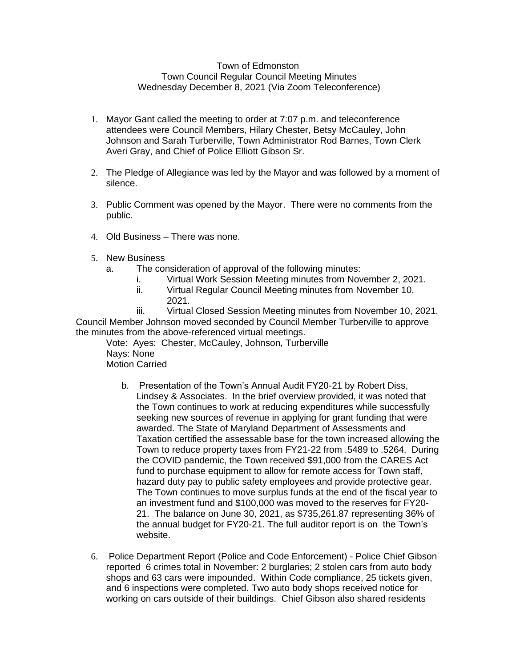## Town of Edmonston Town Council Regular Council Meeting Minutes Wednesday December 8, 2021 (Via Zoom Teleconference)

- 1. Mayor Gant called the meeting to order at 7:07 p.m. and teleconference attendees were Council Members, Hilary Chester, Betsy McCauley, John Johnson and Sarah Turberville, Town Administrator Rod Barnes, Town Clerk Averi Gray, and Chief of Police Elliott Gibson Sr.
- 2. The Pledge of Allegiance was led by the Mayor and was followed by a moment of silence.
- 3. Public Comment was opened by the Mayor. There were no comments from the public.
- 4. Old Business There was none.
- 5. New Business
	- a. The consideration of approval of the following minutes:
		- i. Virtual Work Session Meeting minutes from November 2, 2021.
		- ii. Virtual Regular Council Meeting minutes from November 10, 2021.

iii. Virtual Closed Session Meeting minutes from November 10, 2021. Council Member Johnson moved seconded by Council Member Turberville to approve the minutes from the above-referenced virtual meetings.

Vote: Ayes: Chester, McCauley, Johnson, Turberville Nays: None Motion Carried

- b. Presentation of the Town's Annual Audit FY20-21 by Robert Diss, Lindsey & Associates. In the brief overview provided, it was noted that the Town continues to work at reducing expenditures while successfully seeking new sources of revenue in applying for grant funding that were awarded. The State of Maryland Department of Assessments and Taxation certified the assessable base for the town increased allowing the Town to reduce property taxes from FY21-22 from .5489 to .5264. During the COVID pandemic, the Town received \$91,000 from the CARES Act fund to purchase equipment to allow for remote access for Town staff, hazard duty pay to public safety employees and provide protective gear. The Town continues to move surplus funds at the end of the fiscal year to an investment fund and \$100,000 was moved to the reserves for FY20- 21. The balance on June 30, 2021, as \$735,261.87 representing 36% of the annual budget for FY20-21. The full auditor report is on the Town's website.
- 6. Police Department Report (Police and Code Enforcement) Police Chief Gibson reported 6 crimes total in November: 2 burglaries; 2 stolen cars from auto body shops and 63 cars were impounded. Within Code compliance, 25 tickets given, and 6 inspections were completed. Two auto body shops received notice for working on cars outside of their buildings. Chief Gibson also shared residents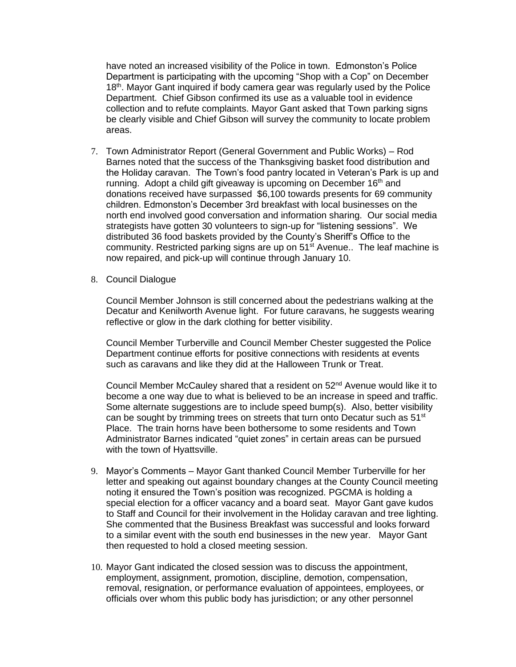have noted an increased visibility of the Police in town. Edmonston's Police Department is participating with the upcoming "Shop with a Cop" on December 18<sup>th</sup>. Mayor Gant inquired if body camera gear was regularly used by the Police Department. Chief Gibson confirmed its use as a valuable tool in evidence collection and to refute complaints. Mayor Gant asked that Town parking signs be clearly visible and Chief Gibson will survey the community to locate problem areas.

- 7. Town Administrator Report (General Government and Public Works) Rod Barnes noted that the success of the Thanksgiving basket food distribution and the Holiday caravan. The Town's food pantry located in Veteran's Park is up and running. Adopt a child gift giveaway is upcoming on December 16<sup>th</sup> and donations received have surpassed \$6,100 towards presents for 69 community children. Edmonston's December 3rd breakfast with local businesses on the north end involved good conversation and information sharing. Our social media strategists have gotten 30 volunteers to sign-up for "listening sessions". We distributed 36 food baskets provided by the County's Sheriff's Office to the community. Restricted parking signs are up on  $51<sup>st</sup>$  Avenue.. The leaf machine is now repaired, and pick-up will continue through January 10.
- 8. Council Dialogue

Council Member Johnson is still concerned about the pedestrians walking at the Decatur and Kenilworth Avenue light. For future caravans, he suggests wearing reflective or glow in the dark clothing for better visibility.

Council Member Turberville and Council Member Chester suggested the Police Department continue efforts for positive connections with residents at events such as caravans and like they did at the Halloween Trunk or Treat.

Council Member McCauley shared that a resident on 52<sup>nd</sup> Avenue would like it to become a one way due to what is believed to be an increase in speed and traffic. Some alternate suggestions are to include speed bump(s). Also, better visibility can be sought by trimming trees on streets that turn onto Decatur such as 51<sup>st</sup> Place. The train horns have been bothersome to some residents and Town Administrator Barnes indicated "quiet zones" in certain areas can be pursued with the town of Hyattsville.

- 9. Mayor's Comments Mayor Gant thanked Council Member Turberville for her letter and speaking out against boundary changes at the County Council meeting noting it ensured the Town's position was recognized. PGCMA is holding a special election for a officer vacancy and a board seat. Mayor Gant gave kudos to Staff and Council for their involvement in the Holiday caravan and tree lighting. She commented that the Business Breakfast was successful and looks forward to a similar event with the south end businesses in the new year. Mayor Gant then requested to hold a closed meeting session.
- 10. Mayor Gant indicated the closed session was to discuss the appointment, employment, assignment, promotion, discipline, demotion, compensation, removal, resignation, or performance evaluation of appointees, employees, or officials over whom this public body has jurisdiction; or any other personnel